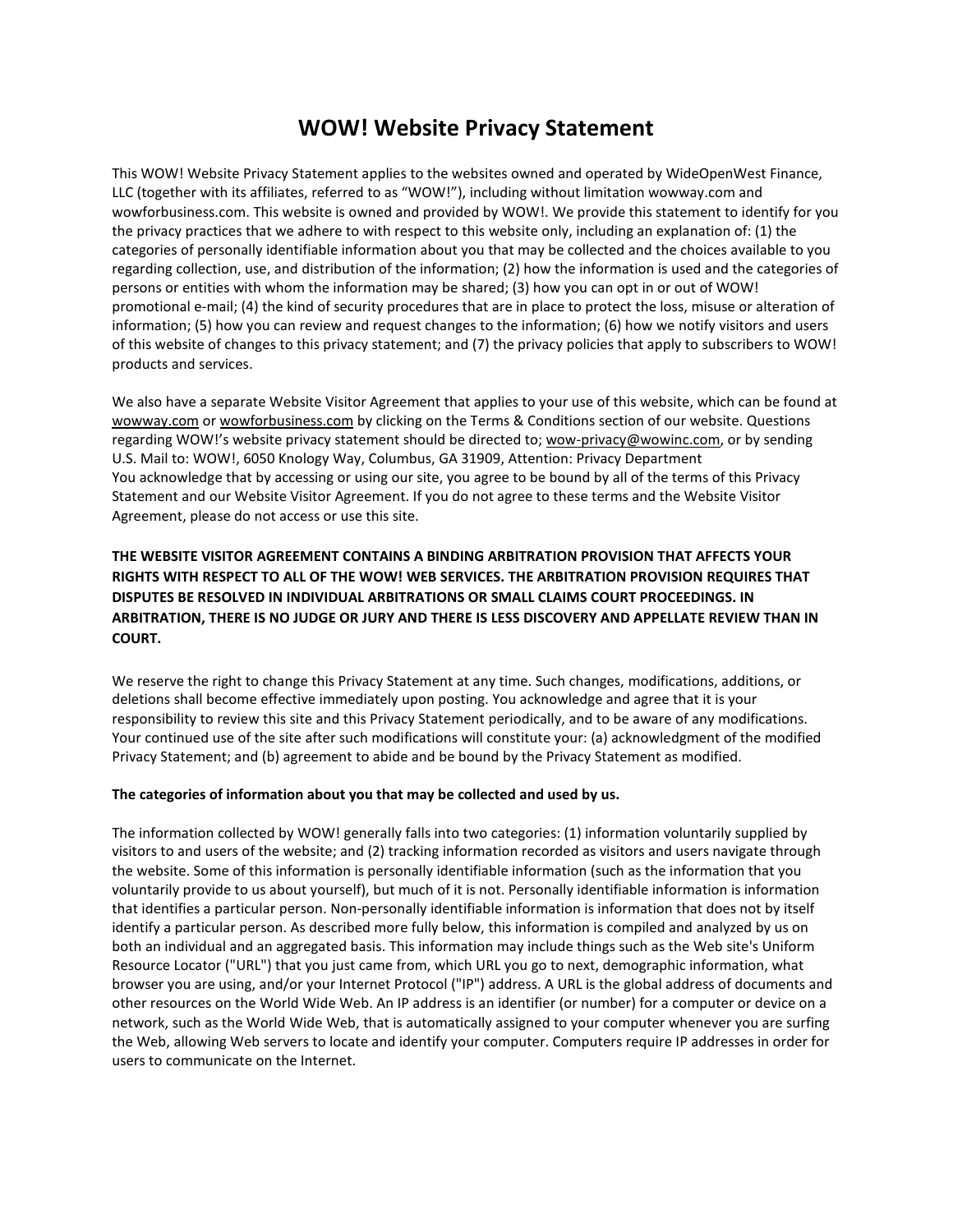# **WOW! Website Privacy Statement**

This WOW! Website Privacy Statement applies to the websites owned and operated by WideOpenWest Finance, LLC (together with its affiliates, referred to as "WOW!"), including without limitation wowway.com and wowforbusiness.com. This website is owned and provided by WOW!. We provide this statement to identify for you the privacy practices that we adhere to with respect to this website only, including an explanation of: (1) the categories of personally identifiable information about you that may be collected and the choices available to you regarding collection, use, and distribution of the information; (2) how the information is used and the categories of persons or entities with whom the information may be shared; (3) how you can opt in or out of WOW! promotional e-mail; (4) the kind of security procedures that are in place to protect the loss, misuse or alteration of information; (5) how you can review and request changes to the information; (6) how we notify visitors and users of this website of changes to this privacy statement; and (7) the privacy policies that apply to subscribers to WOW! products and services.

We also have a separate Website Visitor Agreement that applies to your use of this website, which can be found at [wowway.com](http://www.wowway.com/) or [wowforbusiness.com](http://www.wowforbusiness.com/) by clicking on the Terms & Conditions section of our website. Questions regarding WOW!'s website privacy statement should be directed to; [wow-privacy@wowinc.com,](mailto:wow-privacy@wowinc.com) or by sending U.S. Mail to: WOW!, 6050 Knology Way, Columbus, GA 31909, Attention: Privacy Department You acknowledge that by accessing or using our site, you agree to be bound by all of the terms of this Privacy Statement and our Website Visitor Agreement. If you do not agree to these terms and the Website Visitor Agreement, please do not access or use this site.

# **THE WEBSITE VISITOR AGREEMENT CONTAINS A BINDING ARBITRATION PROVISION THAT AFFECTS YOUR RIGHTS WITH RESPECT TO ALL OF THE WOW! WEB SERVICES. THE ARBITRATION PROVISION REQUIRES THAT DISPUTES BE RESOLVED IN INDIVIDUAL ARBITRATIONS OR SMALL CLAIMS COURT PROCEEDINGS. IN ARBITRATION, THERE IS NO JUDGE OR JURY AND THERE IS LESS DISCOVERY AND APPELLATE REVIEW THAN IN COURT.**

We reserve the right to change this Privacy Statement at any time. Such changes, modifications, additions, or deletions shall become effective immediately upon posting. You acknowledge and agree that it is your responsibility to review this site and this Privacy Statement periodically, and to be aware of any modifications. Your continued use of the site after such modifications will constitute your: (a) acknowledgment of the modified Privacy Statement; and (b) agreement to abide and be bound by the Privacy Statement as modified.

# **The categories of information about you that may be collected and used by us.**

The information collected by WOW! generally falls into two categories: (1) information voluntarily supplied by visitors to and users of the website; and (2) tracking information recorded as visitors and users navigate through the website. Some of this information is personally identifiable information (such as the information that you voluntarily provide to us about yourself), but much of it is not. Personally identifiable information is information that identifies a particular person. Non-personally identifiable information is information that does not by itself identify a particular person. As described more fully below, this information is compiled and analyzed by us on both an individual and an aggregated basis. This information may include things such as the Web site's Uniform Resource Locator ("URL") that you just came from, which URL you go to next, demographic information, what browser you are using, and/or your Internet Protocol ("IP") address. A URL is the global address of documents and other resources on the World Wide Web. An IP address is an identifier (or number) for a computer or device on a network, such as the World Wide Web, that is automatically assigned to your computer whenever you are surfing the Web, allowing Web servers to locate and identify your computer. Computers require IP addresses in order for users to communicate on the Internet.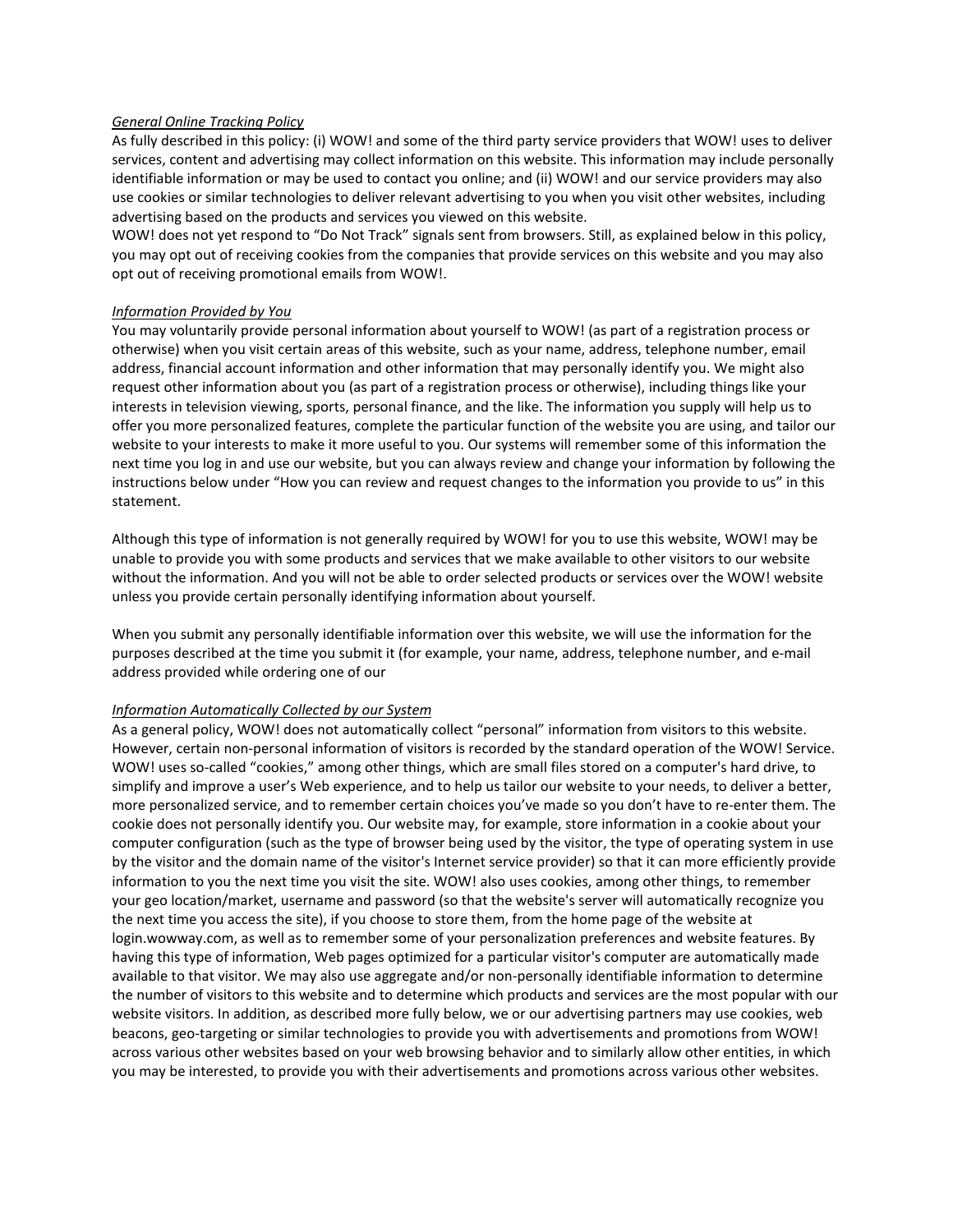#### *General Online Tracking Policy*

As fully described in this policy: (i) WOW! and some of the third party service providers that WOW! uses to deliver services, content and advertising may collect information on this website. This information may include personally identifiable information or may be used to contact you online; and (ii) WOW! and our service providers may also use cookies or similar technologies to deliver relevant advertising to you when you visit other websites, including advertising based on the products and services you viewed on this website.

WOW! does not yet respond to "Do Not Track" signals sent from browsers. Still, as explained below in this policy, you may opt out of receiving cookies from the companies that provide services on this website and you may also opt out of receiving promotional emails from WOW!.

#### *Information Provided by You*

You may voluntarily provide personal information about yourself to WOW! (as part of a registration process or otherwise) when you visit certain areas of this website, such as your name, address, telephone number, email address, financial account information and other information that may personally identify you. We might also request other information about you (as part of a registration process or otherwise), including things like your interests in television viewing, sports, personal finance, and the like. The information you supply will help us to offer you more personalized features, complete the particular function of the website you are using, and tailor our website to your interests to make it more useful to you. Our systems will remember some of this information the next time you log in and use our website, but you can always review and change your information by following the instructions below under "How you can review and request changes to the information you provide to us" in this statement.

Although this type of information is not generally required by WOW! for you to use this website, WOW! may be unable to provide you with some products and services that we make available to other visitors to our website without the information. And you will not be able to order selected products or services over the WOW! website unless you provide certain personally identifying information about yourself.

When you submit any personally identifiable information over this website, we will use the information for the purposes described at the time you submit it (for example, your name, address, telephone number, and e-mail address provided while ordering one of our

#### *Information Automatically Collected by our System*

As a general policy, WOW! does not automatically collect "personal" information from visitors to this website. However, certain non-personal information of visitors is recorded by the standard operation of the WOW! Service. WOW! uses so-called "cookies," among other things, which are small files stored on a computer's hard drive, to simplify and improve a user's Web experience, and to help us tailor our website to your needs, to deliver a better, more personalized service, and to remember certain choices you've made so you don't have to re-enter them. The cookie does not personally identify you. Our website may, for example, store information in a cookie about your computer configuration (such as the type of browser being used by the visitor, the type of operating system in use by the visitor and the domain name of the visitor's Internet service provider) so that it can more efficiently provide information to you the next time you visit the site. WOW! also uses cookies, among other things, to remember your geo location/market, username and password (so that the website's server will automatically recognize you the next time you access the site), if you choose to store them, from the home page of the website at login.wowway.com, as well as to remember some of your personalization preferences and website features. By having this type of information, Web pages optimized for a particular visitor's computer are automatically made available to that visitor. We may also use aggregate and/or non-personally identifiable information to determine the number of visitors to this website and to determine which products and services are the most popular with our website visitors. In addition, as described more fully below, we or our advertising partners may use cookies, web beacons, geo-targeting or similar technologies to provide you with advertisements and promotions from WOW! across various other websites based on your web browsing behavior and to similarly allow other entities, in which you may be interested, to provide you with their advertisements and promotions across various other websites.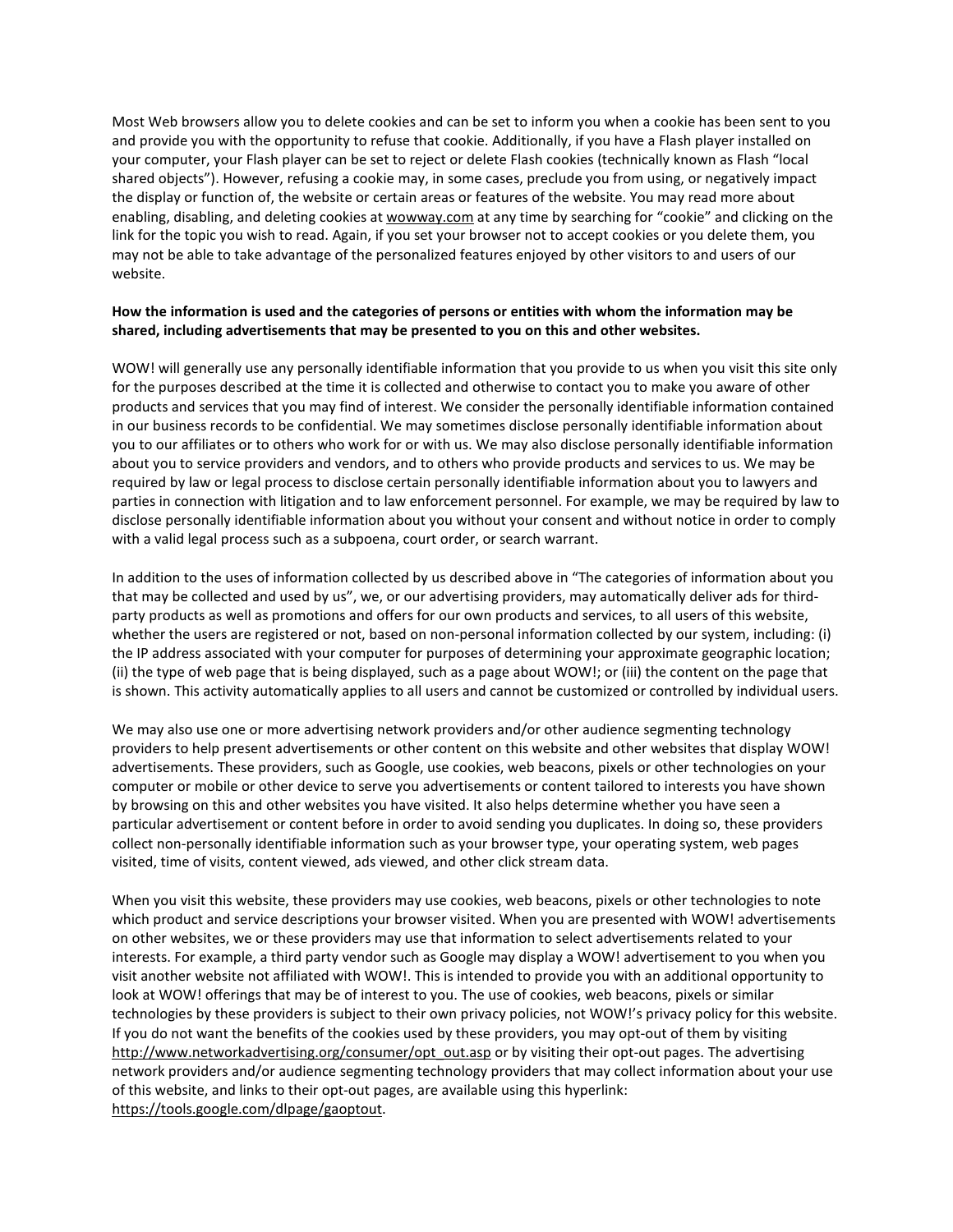Most Web browsers allow you to delete cookies and can be set to inform you when a cookie has been sent to you and provide you with the opportunity to refuse that cookie. Additionally, if you have a Flash player installed on your computer, your Flash player can be set to reject or delete Flash cookies (technically known as Flash "local shared objects"). However, refusing a cookie may, in some cases, preclude you from using, or negatively impact the display or function of, the website or certain areas or features of the website. You may read more about enabling, disabling, and deleting cookies a[t wowway.com](http://www.wowway.com/) at any time by searching for "cookie" and clicking on the link for the topic you wish to read. Again, if you set your browser not to accept cookies or you delete them, you may not be able to take advantage of the personalized features enjoyed by other visitors to and users of our website.

# **How the information is used and the categories of persons or entities with whom the information may be shared, including advertisements that may be presented to you on this and other websites.**

WOW! will generally use any personally identifiable information that you provide to us when you visit this site only for the purposes described at the time it is collected and otherwise to contact you to make you aware of other products and services that you may find of interest. We consider the personally identifiable information contained in our business records to be confidential. We may sometimes disclose personally identifiable information about you to our affiliates or to others who work for or with us. We may also disclose personally identifiable information about you to service providers and vendors, and to others who provide products and services to us. We may be required by law or legal process to disclose certain personally identifiable information about you to lawyers and parties in connection with litigation and to law enforcement personnel. For example, we may be required by law to disclose personally identifiable information about you without your consent and without notice in order to comply with a valid legal process such as a subpoena, court order, or search warrant.

In addition to the uses of information collected by us described above in "The categories of information about you that may be collected and used by us", we, or our advertising providers, may automatically deliver ads for thirdparty products as well as promotions and offers for our own products and services, to all users of this website, whether the users are registered or not, based on non-personal information collected by our system, including: (i) the IP address associated with your computer for purposes of determining your approximate geographic location; (ii) the type of web page that is being displayed, such as a page about WOW!; or (iii) the content on the page that is shown. This activity automatically applies to all users and cannot be customized or controlled by individual users.

We may also use one or more advertising network providers and/or other audience segmenting technology providers to help present advertisements or other content on this website and other websites that display WOW! advertisements. These providers, such as Google, use cookies, web beacons, pixels or other technologies on your computer or mobile or other device to serve you advertisements or content tailored to interests you have shown by browsing on this and other websites you have visited. It also helps determine whether you have seen a particular advertisement or content before in order to avoid sending you duplicates. In doing so, these providers collect non-personally identifiable information such as your browser type, your operating system, web pages visited, time of visits, content viewed, ads viewed, and other click stream data.

When you visit this website, these providers may use cookies, web beacons, pixels or other technologies to note which product and service descriptions your browser visited. When you are presented with WOW! advertisements on other websites, we or these providers may use that information to select advertisements related to your interests. For example, a third party vendor such as Google may display a WOW! advertisement to you when you visit another website not affiliated with WOW!. This is intended to provide you with an additional opportunity to look at WOW! offerings that may be of interest to you. The use of cookies, web beacons, pixels or similar technologies by these providers is subject to their own privacy policies, not WOW!'s privacy policy for this website. If you do not want the benefits of the cookies used by these providers, you may opt-out of them by visiting [http://www.networkadvertising.org/consumer/opt\\_out.asp](http://www.networkadvertising.org/consumer/opt_out.asp) or by visiting their opt-out pages. The advertising network providers and/or audience segmenting technology providers that may collect information about your use of this website, and links to their opt-out pages, are available using this hyperlink: [https://tools.google.com/dlpage/gaoptout.](https://tools.google.com/dlpage/gaoptout/)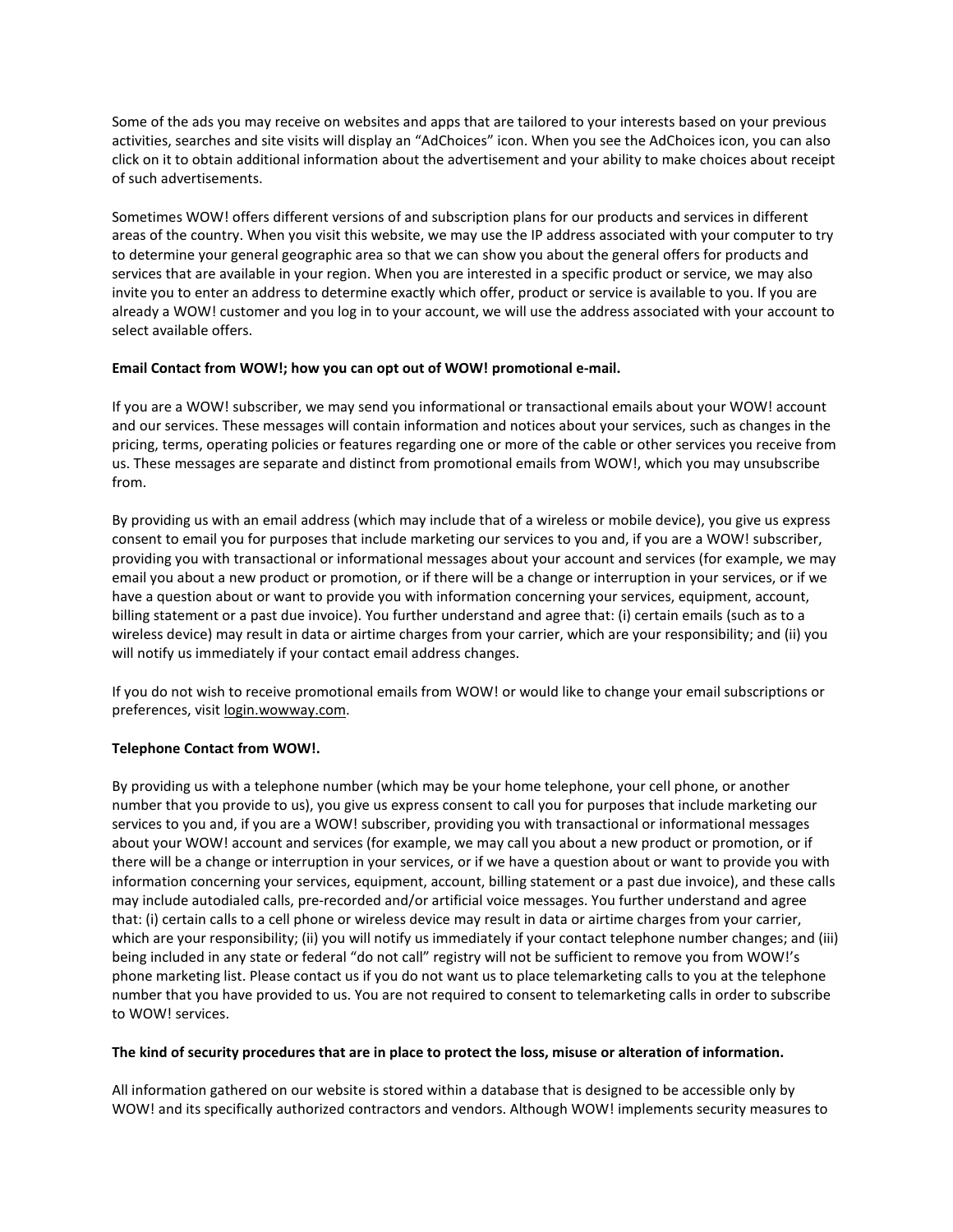Some of the ads you may receive on websites and apps that are tailored to your interests based on your previous activities, searches and site visits will display an "AdChoices" icon. When you see the AdChoices icon, you can also click on it to obtain additional information about the advertisement and your ability to make choices about receipt of such advertisements.

Sometimes WOW! offers different versions of and subscription plans for our products and services in different areas of the country. When you visit this website, we may use the IP address associated with your computer to try to determine your general geographic area so that we can show you about the general offers for products and services that are available in your region. When you are interested in a specific product or service, we may also invite you to enter an address to determine exactly which offer, product or service is available to you. If you are already a WOW! customer and you log in to your account, we will use the address associated with your account to select available offers.

## **Email Contact from WOW!; how you can opt out of WOW! promotional e-mail.**

If you are a WOW! subscriber, we may send you informational or transactional emails about your WOW! account and our services. These messages will contain information and notices about your services, such as changes in the pricing, terms, operating policies or features regarding one or more of the cable or other services you receive from us. These messages are separate and distinct from promotional emails from WOW!, which you may unsubscribe from.

By providing us with an email address (which may include that of a wireless or mobile device), you give us express consent to email you for purposes that include marketing our services to you and, if you are a WOW! subscriber, providing you with transactional or informational messages about your account and services (for example, we may email you about a new product or promotion, or if there will be a change or interruption in your services, or if we have a question about or want to provide you with information concerning your services, equipment, account, billing statement or a past due invoice). You further understand and agree that: (i) certain emails (such as to a wireless device) may result in data or airtime charges from your carrier, which are your responsibility; and (ii) you will notify us immediately if your contact email address changes.

If you do not wish to receive promotional emails from WOW! or would like to change your email subscriptions or preferences, visit [login.wowway.com.](https://login.wowway.com/)

# **Telephone Contact from WOW!.**

By providing us with a telephone number (which may be your home telephone, your cell phone, or another number that you provide to us), you give us express consent to call you for purposes that include marketing our services to you and, if you are a WOW! subscriber, providing you with transactional or informational messages about your WOW! account and services (for example, we may call you about a new product or promotion, or if there will be a change or interruption in your services, or if we have a question about or want to provide you with information concerning your services, equipment, account, billing statement or a past due invoice), and these calls may include autodialed calls, pre-recorded and/or artificial voice messages. You further understand and agree that: (i) certain calls to a cell phone or wireless device may result in data or airtime charges from your carrier, which are your responsibility; (ii) you will notify us immediately if your contact telephone number changes; and (iii) being included in any state or federal "do not call" registry will not be sufficient to remove you from WOW!'s phone marketing list. Please contact us if you do not want us to place telemarketing calls to you at the telephone number that you have provided to us. You are not required to consent to telemarketing calls in order to subscribe to WOW! services.

#### **The kind of security procedures that are in place to protect the loss, misuse or alteration of information.**

All information gathered on our website is stored within a database that is designed to be accessible only by WOW! and its specifically authorized contractors and vendors. Although WOW! implements security measures to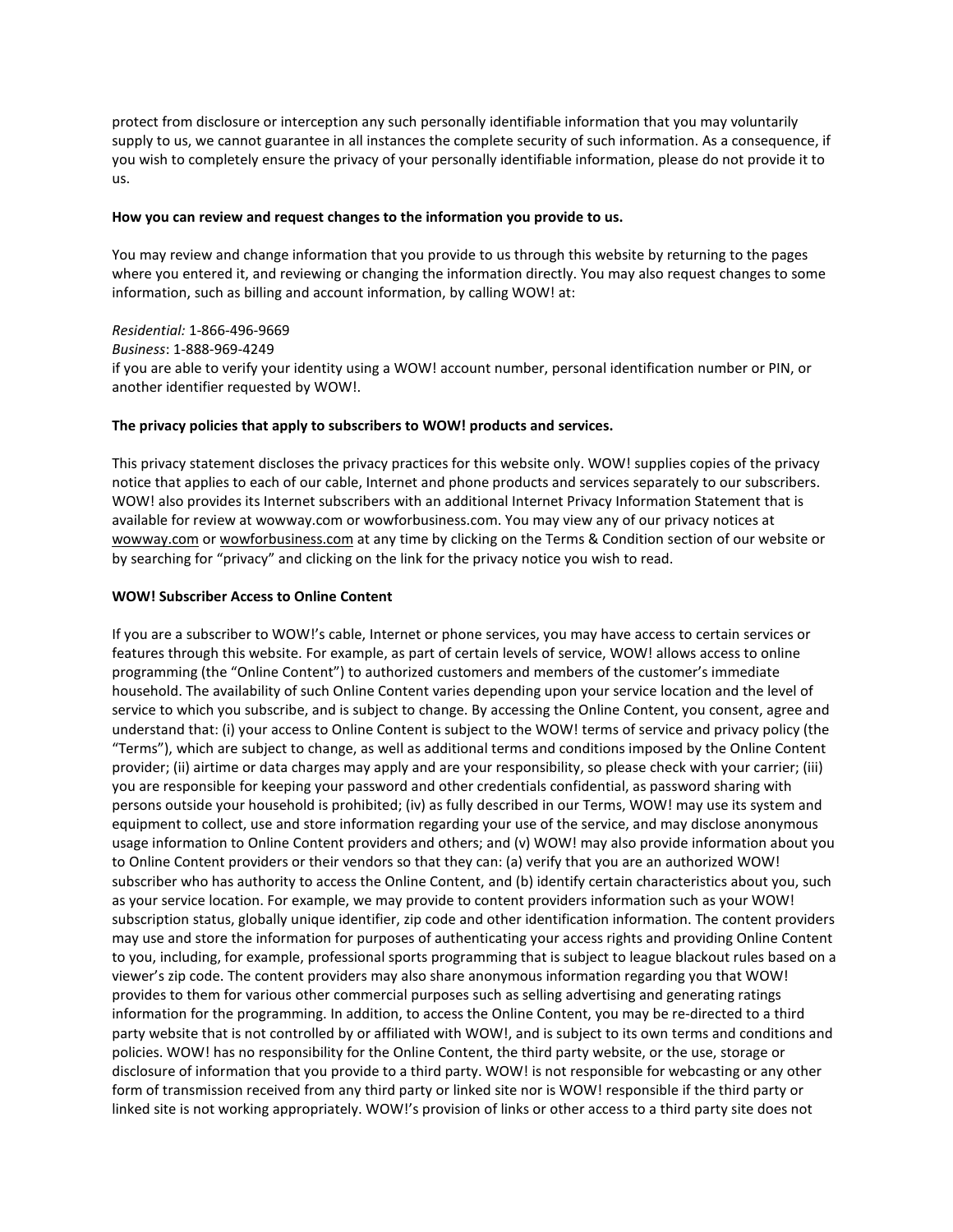protect from disclosure or interception any such personally identifiable information that you may voluntarily supply to us, we cannot guarantee in all instances the complete security of such information. As a consequence, if you wish to completely ensure the privacy of your personally identifiable information, please do not provide it to us.

#### **How you can review and request changes to the information you provide to us.**

You may review and change information that you provide to us through this website by returning to the pages where you entered it, and reviewing or changing the information directly. You may also request changes to some information, such as billing and account information, by calling WOW! at:

*Residential:* 1-866-496-9669 *Business*: 1-888-969-4249 if you are able to verify your identity using a WOW! account number, personal identification number or PIN, or another identifier requested by WOW!.

#### **The privacy policies that apply to subscribers to WOW! products and services.**

This privacy statement discloses the privacy practices for this website only. WOW! supplies copies of the privacy notice that applies to each of our cable, Internet and phone products and services separately to our subscribers. WOW! also provides its Internet subscribers with an additional Internet Privacy Information Statement that is available for review at wowway.com or wowforbusiness.com. You may view any of our privacy notices at [wowway.com](http://www.wowway.com/) or [wowforbusiness.com](http://www.wowforbusiness.com/) at any time by clicking on the Terms & Condition section of our website or by searching for "privacy" and clicking on the link for the privacy notice you wish to read.

#### **WOW! Subscriber Access to Online Content**

If you are a subscriber to WOW!'s cable, Internet or phone services, you may have access to certain services or features through this website. For example, as part of certain levels of service, WOW! allows access to online programming (the "Online Content") to authorized customers and members of the customer's immediate household. The availability of such Online Content varies depending upon your service location and the level of service to which you subscribe, and is subject to change. By accessing the Online Content, you consent, agree and understand that: (i) your access to Online Content is subject to the WOW! terms of service and privacy policy (the "Terms"), which are subject to change, as well as additional terms and conditions imposed by the Online Content provider; (ii) airtime or data charges may apply and are your responsibility, so please check with your carrier; (iii) you are responsible for keeping your password and other credentials confidential, as password sharing with persons outside your household is prohibited; (iv) as fully described in our Terms, WOW! may use its system and equipment to collect, use and store information regarding your use of the service, and may disclose anonymous usage information to Online Content providers and others; and (v) WOW! may also provide information about you to Online Content providers or their vendors so that they can: (a) verify that you are an authorized WOW! subscriber who has authority to access the Online Content, and (b) identify certain characteristics about you, such as your service location. For example, we may provide to content providers information such as your WOW! subscription status, globally unique identifier, zip code and other identification information. The content providers may use and store the information for purposes of authenticating your access rights and providing Online Content to you, including, for example, professional sports programming that is subject to league blackout rules based on a viewer's zip code. The content providers may also share anonymous information regarding you that WOW! provides to them for various other commercial purposes such as selling advertising and generating ratings information for the programming. In addition, to access the Online Content, you may be re-directed to a third party website that is not controlled by or affiliated with WOW!, and is subject to its own terms and conditions and policies. WOW! has no responsibility for the Online Content, the third party website, or the use, storage or disclosure of information that you provide to a third party. WOW! is not responsible for webcasting or any other form of transmission received from any third party or linked site nor is WOW! responsible if the third party or linked site is not working appropriately. WOW!'s provision of links or other access to a third party site does not